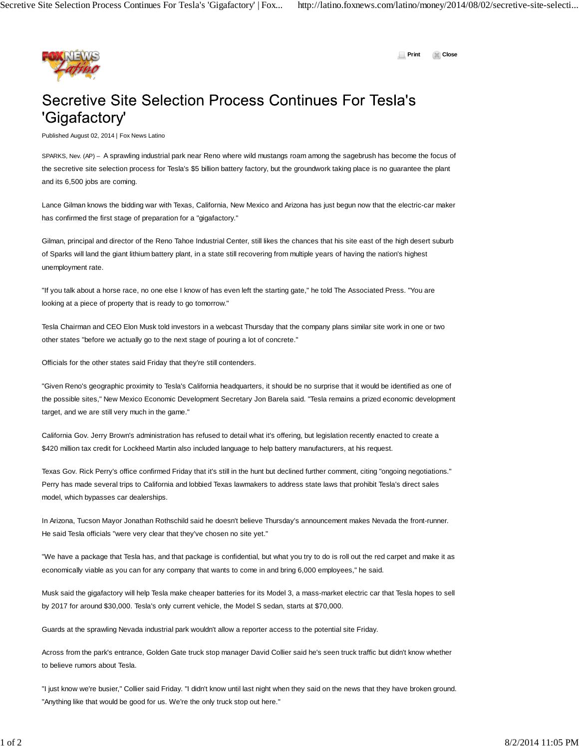

 **Print Close**

## Secretive Site Selection Process Continues For Tesla's 'Gigafactory'

Published August 02, 2014 | Fox News Latino

SPARKS, Nev. (AP) – A sprawling industrial park near Reno where wild mustangs roam among the sagebrush has become the focus of the secretive site selection process for Tesla's \$5 billion battery factory, but the groundwork taking place is no guarantee the plant and its 6,500 jobs are coming.

Lance Gilman knows the bidding war with Texas, California, New Mexico and Arizona has just begun now that the electric-car maker has confirmed the first stage of preparation for a "gigafactory."

Gilman, principal and director of the Reno Tahoe Industrial Center, still likes the chances that his site east of the high desert suburb of Sparks will land the giant lithium battery plant, in a state still recovering from multiple years of having the nation's highest unemployment rate.

"If you talk about a horse race, no one else I know of has even left the starting gate," he told The Associated Press. "You are looking at a piece of property that is ready to go tomorrow."

Tesla Chairman and CEO Elon Musk told investors in a webcast Thursday that the company plans similar site work in one or two other states "before we actually go to the next stage of pouring a lot of concrete."

Officials for the other states said Friday that they're still contenders.

"Given Reno's geographic proximity to Tesla's California headquarters, it should be no surprise that it would be identified as one of the possible sites," New Mexico Economic Development Secretary Jon Barela said. "Tesla remains a prized economic development target, and we are still very much in the game."

California Gov. Jerry Brown's administration has refused to detail what it's offering, but legislation recently enacted to create a \$420 million tax credit for Lockheed Martin also included language to help battery manufacturers, at his request.

Texas Gov. Rick Perry's office confirmed Friday that it's still in the hunt but declined further comment, citing "ongoing negotiations." Perry has made several trips to California and lobbied Texas lawmakers to address state laws that prohibit Tesla's direct sales model, which bypasses car dealerships.

In Arizona, Tucson Mayor Jonathan Rothschild said he doesn't believe Thursday's announcement makes Nevada the front-runner. He said Tesla officials "were very clear that they've chosen no site yet."

"We have a package that Tesla has, and that package is confidential, but what you try to do is roll out the red carpet and make it as economically viable as you can for any company that wants to come in and bring 6,000 employees," he said.

Musk said the gigafactory will help Tesla make cheaper batteries for its Model 3, a mass-market electric car that Tesla hopes to sell by 2017 for around \$30,000. Tesla's only current vehicle, the Model S sedan, starts at \$70,000.

Guards at the sprawling Nevada industrial park wouldn't allow a reporter access to the potential site Friday.

Across from the park's entrance, Golden Gate truck stop manager David Collier said he's seen truck traffic but didn't know whether to believe rumors about Tesla.

"I just know we're busier," Collier said Friday. "I didn't know until last night when they said on the news that they have broken ground. "Anything like that would be good for us. We're the only truck stop out here."